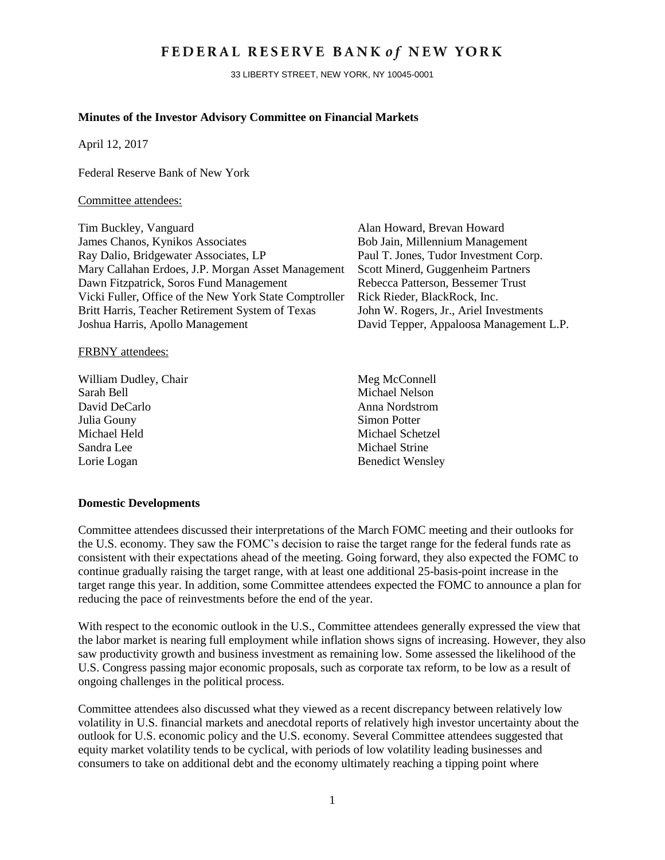## FEDERAL RESERVE BANK of NEW YORK

33 LIBERTY STREET, NEW YORK, NY 10045-0001

#### **Minutes of the Investor Advisory Committee on Financial Markets**

April 12, 2017

Federal Reserve Bank of New York

#### Committee attendees:

| Alan Howard, Brevan Howard              |
|-----------------------------------------|
| Bob Jain, Millennium Management         |
| Paul T. Jones, Tudor Investment Corp.   |
| Scott Minerd, Guggenheim Partners       |
| Rebecca Patterson, Bessemer Trust       |
| Rick Rieder, BlackRock, Inc.            |
| John W. Rogers, Jr., Ariel Investments  |
| David Tepper, Appaloosa Management L.P. |
|                                         |

#### FRBNY attendees:

- William Dudley, Chair Meg McConnell Sarah Bell Michael Nelson David DeCarlo Anna Nordstrom Julia Gouny Simon Potter Michael Held Michael Schetzel Sandra Lee Michael Strine Lorie Logan Benedict Wensley
	-

### **Domestic Developments**

Committee attendees discussed their interpretations of the March FOMC meeting and their outlooks for the U.S. economy. They saw the FOMC's decision to raise the target range for the federal funds rate as consistent with their expectations ahead of the meeting. Going forward, they also expected the FOMC to continue gradually raising the target range, with at least one additional 25-basis-point increase in the target range this year. In addition, some Committee attendees expected the FOMC to announce a plan for reducing the pace of reinvestments before the end of the year.

With respect to the economic outlook in the U.S., Committee attendees generally expressed the view that the labor market is nearing full employment while inflation shows signs of increasing. However, they also saw productivity growth and business investment as remaining low. Some assessed the likelihood of the U.S. Congress passing major economic proposals, such as corporate tax reform, to be low as a result of ongoing challenges in the political process.

Committee attendees also discussed what they viewed as a recent discrepancy between relatively low volatility in U.S. financial markets and anecdotal reports of relatively high investor uncertainty about the outlook for U.S. economic policy and the U.S. economy. Several Committee attendees suggested that equity market volatility tends to be cyclical, with periods of low volatility leading businesses and consumers to take on additional debt and the economy ultimately reaching a tipping point where